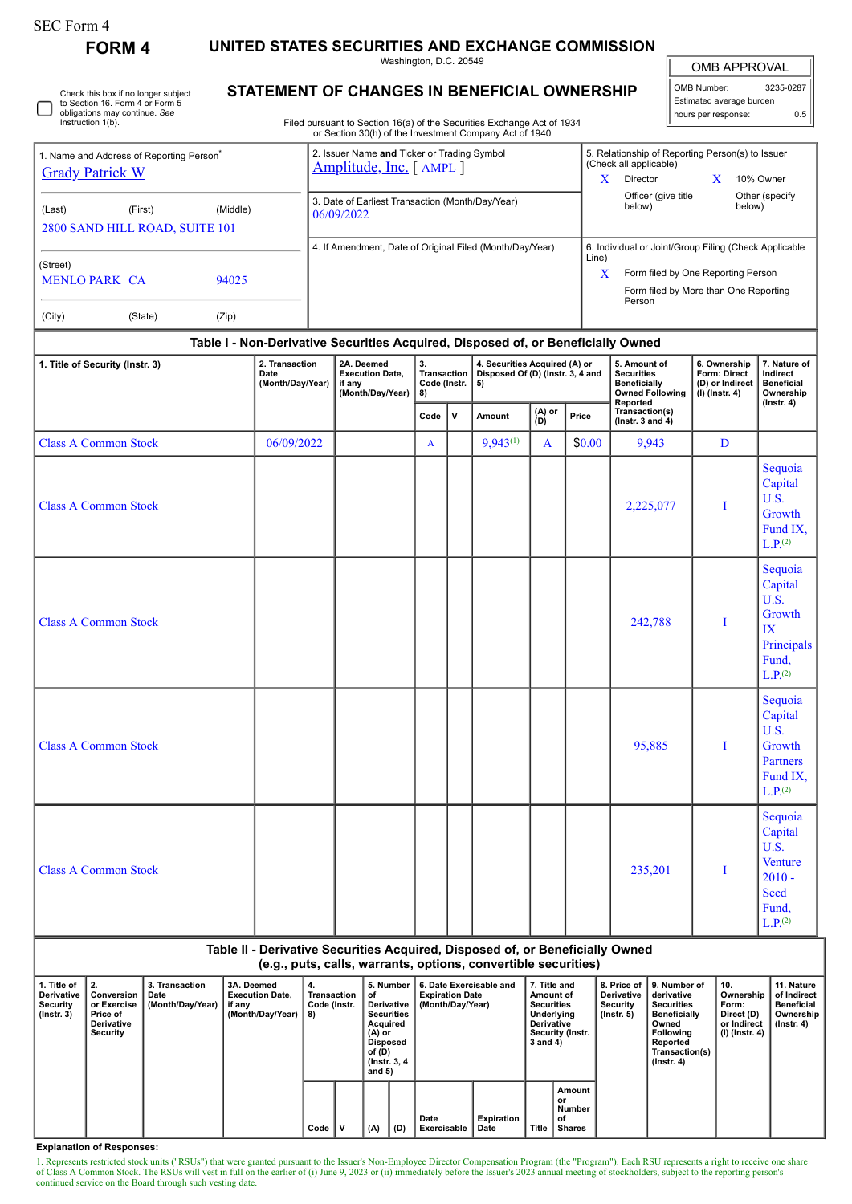| SEC Form 4 |
|------------|
|------------|

| <b>FORM4</b>                                                                                            |                          |                                                                         |                                                                                                                                  | UNITED STATES SECURITIES AND EXCHANGE COMMISSION<br>Washington, D.C. 20549                     |                                   |       |                                                                                                                                                                              |                 |        |                                                                                |                                                     |                                                                                          |
|---------------------------------------------------------------------------------------------------------|--------------------------|-------------------------------------------------------------------------|----------------------------------------------------------------------------------------------------------------------------------|------------------------------------------------------------------------------------------------|-----------------------------------|-------|------------------------------------------------------------------------------------------------------------------------------------------------------------------------------|-----------------|--------|--------------------------------------------------------------------------------|-----------------------------------------------------|------------------------------------------------------------------------------------------|
| Check this box if no longer subject<br>to Section 16. Form 4 or Form 5<br>obligations may continue. See |                          | STATEMENT OF CHANGES IN BENEFICIAL OWNERSHIP                            |                                                                                                                                  | <b>OMB APPROVAL</b><br>OMB Number:<br>3235-0287<br>Estimated average burden                    |                                   |       |                                                                                                                                                                              |                 |        |                                                                                |                                                     |                                                                                          |
| Instruction 1(b).                                                                                       |                          |                                                                         | Filed pursuant to Section 16(a) of the Securities Exchange Act of 1934<br>or Section 30(h) of the Investment Company Act of 1940 |                                                                                                | hours per response:               | 0.5   |                                                                                                                                                                              |                 |        |                                                                                |                                                     |                                                                                          |
| 1. Name and Address of Reporting Person <sup>®</sup><br><b>Grady Patrick W</b>                          |                          | 2. Issuer Name and Ticker or Trading Symbol<br>Amplitude, Inc. [ AMPL ] |                                                                                                                                  |                                                                                                |                                   |       | 5. Relationship of Reporting Person(s) to Issuer<br>(Check all applicable)<br>X.<br>Director<br>10% Owner<br>X.<br>Officer (give title<br>Other (specify<br>below)<br>below) |                 |        |                                                                                |                                                     |                                                                                          |
| (Last)<br>(First)<br>2800 SAND HILL ROAD, SUITE 101                                                     |                          | 3. Date of Earliest Transaction (Month/Day/Year)<br>06/09/2022          |                                                                                                                                  |                                                                                                |                                   |       |                                                                                                                                                                              |                 |        |                                                                                |                                                     |                                                                                          |
| (Street)<br><b>MENLO PARK CA</b>                                                                        |                          | 4. If Amendment, Date of Original Filed (Month/Day/Year)                |                                                                                                                                  |                                                                                                |                                   | Line) | 6. Individual or Joint/Group Filing (Check Applicable<br>Form filed by One Reporting Person<br>X<br>Form filed by More than One Reporting<br>Person                          |                 |        |                                                                                |                                                     |                                                                                          |
| (City)<br>(State)                                                                                       | (Zip)                    |                                                                         |                                                                                                                                  |                                                                                                |                                   |       |                                                                                                                                                                              |                 |        |                                                                                |                                                     |                                                                                          |
| 1. Title of Security (Instr. 3)                                                                         |                          | 2. Transaction                                                          |                                                                                                                                  | Table I - Non-Derivative Securities Acquired, Disposed of, or Beneficially Owned<br>2A. Deemed | 3.                                |       | 4. Securities Acquired (A) or                                                                                                                                                |                 |        | 5. Amount of                                                                   | 6. Ownership                                        | 7. Nature of                                                                             |
|                                                                                                         | Date<br>(Month/Day/Year) |                                                                         |                                                                                                                                  | <b>Execution Date.</b><br>if any<br>(Month/Day/Year)                                           | Transaction<br>Code (Instr.<br>8) |       | Disposed Of (D) (Instr. 3, 4 and<br>5)                                                                                                                                       |                 |        | <b>Securities</b><br><b>Beneficially</b><br><b>Owned Following</b><br>Reported | Form: Direct<br>(D) or Indirect<br>$(I)$ (Instr. 4) | Indirect<br><b>Beneficial</b><br>Ownership<br>$($ Instr. 4 $)$                           |
|                                                                                                         |                          |                                                                         |                                                                                                                                  |                                                                                                | Code                              | v     | Amount                                                                                                                                                                       | $(A)$ or<br>(D) | Price  | Transaction(s)<br>( $lnstr. 3 and 4$ )                                         |                                                     |                                                                                          |
| <b>Class A Common Stock</b>                                                                             |                          | 06/09/2022                                                              |                                                                                                                                  |                                                                                                | A                                 |       | $9.943^{(1)}$                                                                                                                                                                | A               | \$0.00 | 9,943                                                                          | D                                                   |                                                                                          |
| <b>Class A Common Stock</b>                                                                             |                          |                                                                         |                                                                                                                                  |                                                                                                |                                   |       |                                                                                                                                                                              |                 |        | 2,225,077                                                                      | T                                                   | Sequoia<br>Capital<br>U.S.<br>Growth<br>Fund IX,<br>L.P <sub>(2)</sub>                   |
| <b>Class A Common Stock</b>                                                                             |                          |                                                                         |                                                                                                                                  |                                                                                                |                                   |       |                                                                                                                                                                              |                 |        | 242,788                                                                        | T                                                   | Sequoia<br>Capital<br>U.S.<br>Growth<br>IX<br>Principals<br>Fund,<br>L.P. <sup>(2)</sup> |
| <b>Class A Common Stock</b>                                                                             |                          |                                                                         |                                                                                                                                  |                                                                                                |                                   |       |                                                                                                                                                                              |                 |        | 95,885                                                                         | T                                                   | Sequoia<br>Capital<br>U.S.<br>Growth<br>Partners<br>Fund IX,<br>L.P <sub>.</sub> (2)     |
|                                                                                                         |                          |                                                                         |                                                                                                                                  |                                                                                                |                                   |       |                                                                                                                                                                              |                 |        |                                                                                |                                                     | Sequoia<br>Capital                                                                       |

Class A Common Stock and the class A Common Stock and T

## **Table II - Derivative Securities Acquired, Disposed of, or Beneficially Owned (e.g., puts, calls, warrants, options, convertible securities)**

U.S. Venture 2010 - Seed Fund,  $L.P<sub>.</sub>(2)$ 

| 1. Title of<br>Derivative<br>Security<br>$($ lnstr. 3 $)$ | Conversion<br>or Exercise<br><b>Price of</b><br>Derivative<br>Security | 3. Transaction<br>Date<br>(Month/Day/Year) | 3A. Deemed<br><b>Execution Date.</b><br>if any<br>(Month/Day/Year) | 4.<br>Transaction<br>Code (Instr.<br>8) |  | 5. Number<br>οf<br>Derivative<br><b>Securities</b><br>Acquired<br>$(A)$ or<br>Disposed<br>of (D)<br>(Instr. 3, 4)<br>and $5)$ |     | 6. Date Exercisable and<br><b>Expiration Date</b><br>(Month/Day/Year) |                           | 7. Title and<br>Amount of<br><b>Securities</b><br>Underlying<br><b>Derivative</b><br>Security (Instr.<br>3 and 4) |                                               | <b>Derivative</b><br>Security<br>$($ lnstr. 5 $)$ | 8. Price of 19. Number of<br>derivative<br><b>Securities</b><br><b>Beneficially</b><br>Owned<br><b>Following</b><br>Reported<br>Transaction(s)<br>$($ lnstr. 4 $)$ | 10.<br>Ownership<br>Form:<br>Direct (D)<br>or Indirect<br>(I) (Instr. 4) | 11. Nature<br>of Indirect<br><b>Beneficial</b><br>Ownership<br>$($ lnstr. 4 $)$ |
|-----------------------------------------------------------|------------------------------------------------------------------------|--------------------------------------------|--------------------------------------------------------------------|-----------------------------------------|--|-------------------------------------------------------------------------------------------------------------------------------|-----|-----------------------------------------------------------------------|---------------------------|-------------------------------------------------------------------------------------------------------------------|-----------------------------------------------|---------------------------------------------------|--------------------------------------------------------------------------------------------------------------------------------------------------------------------|--------------------------------------------------------------------------|---------------------------------------------------------------------------------|
|                                                           |                                                                        |                                            |                                                                    | Code                                    |  | (A)                                                                                                                           | (D) | Date<br>Exercisable                                                   | <b>Expiration</b><br>Date | <b>Title</b>                                                                                                      | Amount<br>or<br>Number<br>of<br><b>Shares</b> |                                                   |                                                                                                                                                                    |                                                                          |                                                                                 |

**Explanation of Responses:**

1. Represents restricted stock units ("RSUs") that were granted pursuant to the Issuer's Non-Employee Director Compensation Program (the "Program"). Each RSU represents a right to receive one share of Class A Common Stock. continued service on the Board through such vesting date.